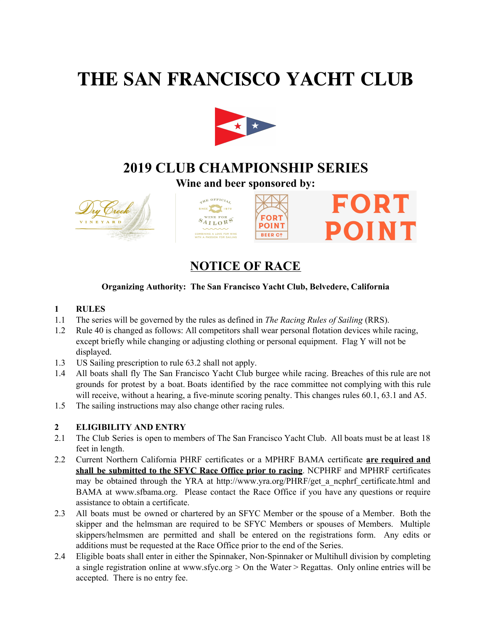# **THE SAN FRANCISCO YACHT CLUB**



## **2019 CLUB CHAMPIONSHIP SERIES**

**Wine and beer sponsored by:**

**FORT** 

**POINT** 

**BEER CO** 







# **NOTICE OF RACE**

### **Organizing Authority: The San Francisco Yacht Club, Belvedere, California**

#### **1 RULES**

- 1.1 The series will be governed by the rules as defined in *The Racing Rules of Sailing* (RRS).
- 1.2 Rule 40 is changed as follows: All competitors shall wear personal flotation devices while racing, except briefly while changing or adjusting clothing or personal equipment. Flag Y will not be displayed.
- 1.3 US Sailing prescription to rule 63.2 shall not apply.
- 1.4 All boats shall fly The San Francisco Yacht Club burgee while racing. Breaches of this rule are not grounds for protest by a boat. Boats identified by the race committee not complying with this rule will receive, without a hearing, a five-minute scoring penalty. This changes rules 60.1, 63.1 and A5.
- 1.5 The sailing instructions may also change other racing rules.

### **2 ELIGIBILITY AND ENTRY**

- 2.1 The Club Series is open to members of The San Francisco Yacht Club. All boats must be at least 18 feet in length.
- 2.2 Current Northern California PHRF certificates or a MPHRF BAMA certificate **are required and shall be submitted to the SFYC Race Office prior to racing**. NCPHRF and MPHRF certificates may be obtained through the YRA at http://www.yra.org/PHRF/get a ncphrf certificate.html and BAMA at www.sfbama.org. Please contact the Race Office if you have any questions or require assistance to obtain a certificate.
- 2.3 All boats must be owned or chartered by an SFYC Member or the spouse of a Member. Both the skipper and the helmsman are required to be SFYC Members or spouses of Members. Multiple skippers/helmsmen are permitted and shall be entered on the registrations form. Any edits or additions must be requested at the Race Office prior to the end of the Series.
- 2.4 Eligible boats shall enter in either the Spinnaker, Non-Spinnaker or Multihull division by completing a single registration online at [www.sfyc.org](http://www.sfyc.org/) > On the Water > Regattas. Only online entries will be accepted. There is no entry fee.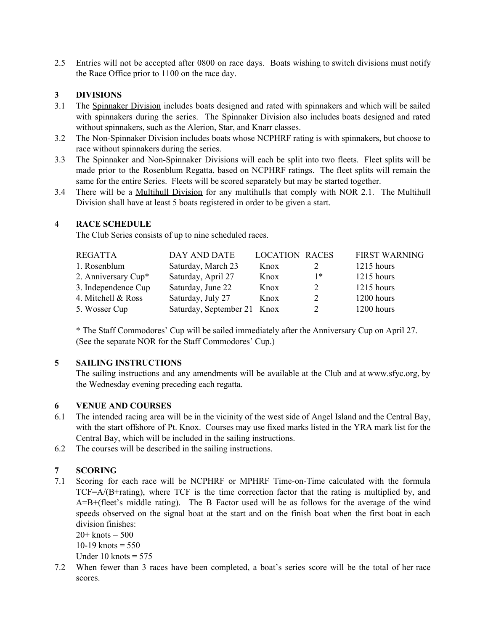2.5 Entries will not be accepted after 0800 on race days. Boats wishing to switch divisions must notify the Race Office prior to 1100 on the race day.

#### **3 DIVISIONS**

- 3.1 The Spinnaker Division includes boats designed and rated with spinnakers and which will be sailed with spinnakers during the series. The Spinnaker Division also includes boats designed and rated without spinnakers, such as the Alerion, Star, and Knarr classes.
- 3.2 The Non-Spinnaker Division includes boats whose NCPHRF rating is with spinnakers, but choose to race without spinnakers during the series.
- 3.3 The Spinnaker and Non-Spinnaker Divisions will each be split into two fleets. Fleet splits will be made prior to the Rosenblum Regatta, based on NCPHRF ratings. The fleet splits will remain the same for the entire Series. Fleets will be scored separately but may be started together.
- 3.4 There will be a Multihull Division for any multihulls that comply with NOR 2.1. The Multihull Division shall have at least 5 boats registered in order to be given a start.

#### **4 RACE SCHEDULE**

The Club Series consists of up to nine scheduled races.

| <b>REGATTA</b>      | DAY AND DATE                | <b>LOCATION</b> | RACES | <b>FIRST WARNING</b> |
|---------------------|-----------------------------|-----------------|-------|----------------------|
| 1. Rosenblum        | Saturday, March 23          | Knox            |       | $1215$ hours         |
| 2. Anniversary Cup* | Saturday, April 27          | Knox            | 1*    | 1215 hours           |
| 3. Independence Cup | Saturday, June 22           | Knox            |       | 1215 hours           |
| 4. Mitchell & Ross  | Saturday, July 27           | Knox            |       | 1200 hours           |
| 5. Wosser Cup       | Saturday, September 21 Knox |                 |       | 1200 hours           |

\* The Staff Commodores' Cup will be sailed immediately after the Anniversary Cup on April 27. (See the separate NOR for the Staff Commodores' Cup.)

#### **5 SAILING INSTRUCTIONS**

The sailing instructions and any amendments will be available at the Club and at www.sfyc.org, by the Wednesday evening preceding each regatta.

#### **6 VENUE AND COURSES**

- 6.1 The intended racing area will be in the vicinity of the west side of Angel Island and the Central Bay, with the start offshore of Pt. Knox. Courses may use fixed marks listed in the YRA mark list for the Central Bay, which will be included in the sailing instructions.
- 6.2 The courses will be described in the sailing instructions.

#### **7 SCORING**

7.1 Scoring for each race will be NCPHRF or MPHRF Time-on-Time calculated with the formula TCF=A/(B+rating), where TCF is the time correction factor that the rating is multiplied by, and A=B+(fleet's middle rating). The B Factor used will be as follows for the average of the wind speeds observed on the signal boat at the start and on the finish boat when the first boat in each division finishes:

 $20 +$  knots = 500 10-19 knots  $= 550$ Under 10 knots  $= 575$ 

7.2 When fewer than 3 races have been completed, a boat's series score will be the total of her race scores.